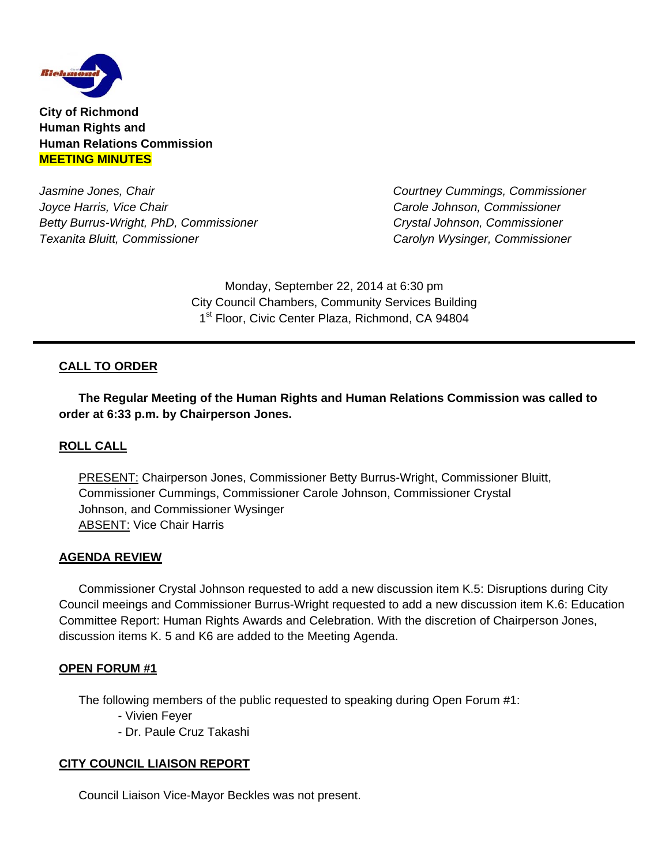

**City of Richmond Human Rights and Human Relations Commission MEETING MINUTES**

Jasmine Jones, Chair **Could a Strategie and Courtney Cummings, Commissioner** *Courtney Cummings***, Commissioner** *Courtney Cummings***, Commissioner** *Joyce Harris, Vice Chair Carole Johnson, Commissioner Betty Burrus-Wright, PhD, Commissioner Crystal Johnson, Commissioner Texanita Bluitt, Commissioner Carolyn Wysinger, Commissioner* 

Monday, September 22, 2014 at 6:30 pm City Council Chambers, Community Services Building 1<sup>st</sup> Floor, Civic Center Plaza, Richmond, CA 94804

## **CALL TO ORDER**

 **The Regular Meeting of the Human Rights and Human Relations Commission was called to order at 6:33 p.m. by Chairperson Jones.** 

### **ROLL CALL**

PRESENT: Chairperson Jones, Commissioner Betty Burrus-Wright, Commissioner Bluitt, Commissioner Cummings, Commissioner Carole Johnson, Commissioner Crystal Johnson, and Commissioner Wysinger ABSENT: Vice Chair Harris

#### **AGENDA REVIEW**

 Commissioner Crystal Johnson requested to add a new discussion item K.5: Disruptions during City Council meeings and Commissioner Burrus-Wright requested to add a new discussion item K.6: Education Committee Report: Human Rights Awards and Celebration. With the discretion of Chairperson Jones, discussion items K. 5 and K6 are added to the Meeting Agenda.

#### **OPEN FORUM #1**

The following members of the public requested to speaking during Open Forum #1:

- Vivien Feyer
- Dr. Paule Cruz Takashi

#### **CITY COUNCIL LIAISON REPORT**

Council Liaison Vice-Mayor Beckles was not present.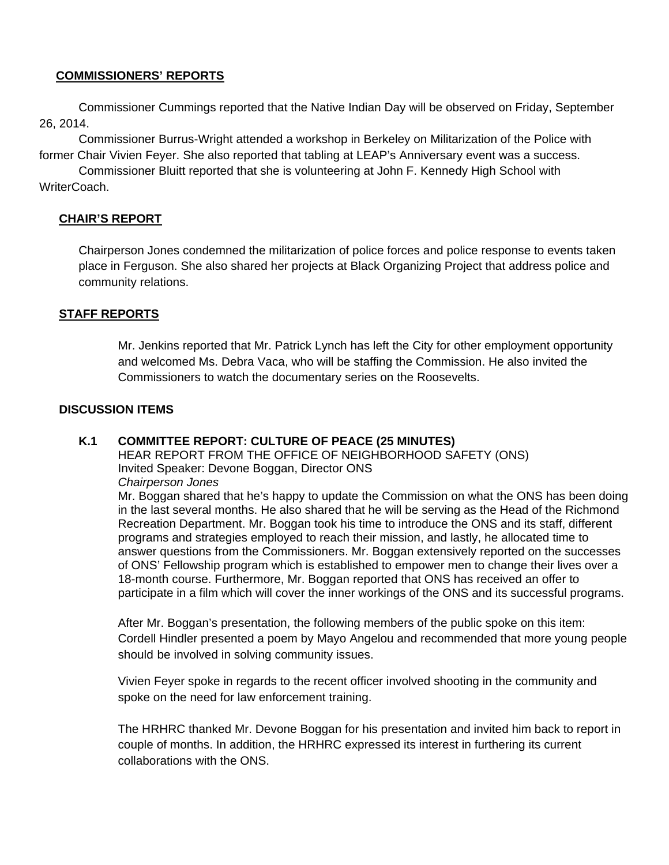### **COMMISSIONERS' REPORTS**

 Commissioner Cummings reported that the Native Indian Day will be observed on Friday, September 26, 2014.

 Commissioner Burrus-Wright attended a workshop in Berkeley on Militarization of the Police with former Chair Vivien Feyer. She also reported that tabling at LEAP's Anniversary event was a success.

 Commissioner Bluitt reported that she is volunteering at John F. Kennedy High School with WriterCoach.

### **CHAIR'S REPORT**

Chairperson Jones condemned the militarization of police forces and police response to events taken place in Ferguson. She also shared her projects at Black Organizing Project that address police and community relations.

### **STAFF REPORTS**

 Mr. Jenkins reported that Mr. Patrick Lynch has left the City for other employment opportunity and welcomed Ms. Debra Vaca, who will be staffing the Commission. He also invited the Commissioners to watch the documentary series on the Roosevelts.

### **DISCUSSION ITEMS**

### **K.1 COMMITTEE REPORT: CULTURE OF PEACE (25 MINUTES)**

HEAR REPORT FROM THE OFFICE OF NEIGHBORHOOD SAFETY (ONS) Invited Speaker: Devone Boggan, Director ONS *Chairperson Jones* 

Mr. Boggan shared that he's happy to update the Commission on what the ONS has been doing in the last several months. He also shared that he will be serving as the Head of the Richmond Recreation Department. Mr. Boggan took his time to introduce the ONS and its staff, different programs and strategies employed to reach their mission, and lastly, he allocated time to answer questions from the Commissioners. Mr. Boggan extensively reported on the successes of ONS' Fellowship program which is established to empower men to change their lives over a 18-month course. Furthermore, Mr. Boggan reported that ONS has received an offer to participate in a film which will cover the inner workings of the ONS and its successful programs.

 After Mr. Boggan's presentation, the following members of the public spoke on this item: Cordell Hindler presented a poem by Mayo Angelou and recommended that more young people should be involved in solving community issues.

Vivien Feyer spoke in regards to the recent officer involved shooting in the community and spoke on the need for law enforcement training.

 The HRHRC thanked Mr. Devone Boggan for his presentation and invited him back to report in couple of months. In addition, the HRHRC expressed its interest in furthering its current collaborations with the ONS.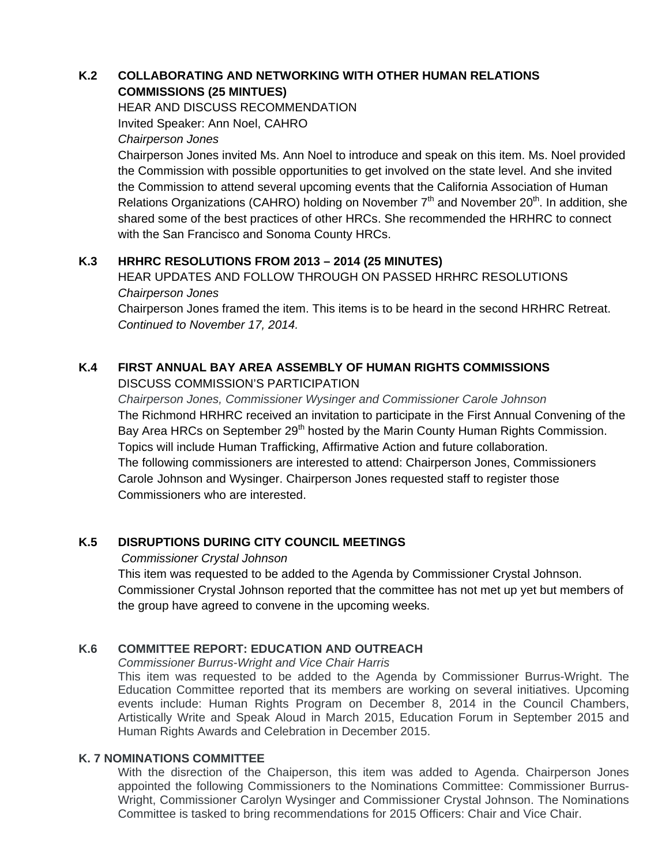# **K.2 COLLABORATING AND NETWORKING WITH OTHER HUMAN RELATIONS COMMISSIONS (25 MINTUES)**

 HEAR AND DISCUSS RECOMMENDATION Invited Speaker: Ann Noel, CAHRO

*Chairperson Jones* 

 Chairperson Jones invited Ms. Ann Noel to introduce and speak on this item. Ms. Noel provided the Commission with possible opportunities to get involved on the state level. And she invited the Commission to attend several upcoming events that the California Association of Human Relations Organizations (CAHRO) holding on November  $7<sup>th</sup>$  and November 20<sup>th</sup>. In addition, she shared some of the best practices of other HRCs. She recommended the HRHRC to connect with the San Francisco and Sonoma County HRCs.

# **K.3 HRHRC RESOLUTIONS FROM 2013 – 2014 (25 MINUTES)**

HEAR UPDATES AND FOLLOW THROUGH ON PASSED HRHRC RESOLUTIONS *Chairperson Jones* 

Chairperson Jones framed the item. This items is to be heard in the second HRHRC Retreat. *Continued to November 17, 2014.* 

#### **K.4 FIRST ANNUAL BAY AREA ASSEMBLY OF HUMAN RIGHTS COMMISSIONS** DISCUSS COMMISSION'S PARTICIPATION

 *Chairperson Jones, Commissioner Wysinger and Commissioner Carole Johnson*  The Richmond HRHRC received an invitation to participate in the First Annual Convening of the Bay Area HRCs on September 29<sup>th</sup> hosted by the Marin County Human Rights Commission. Topics will include Human Trafficking, Affirmative Action and future collaboration. The following commissioners are interested to attend: Chairperson Jones, Commissioners Carole Johnson and Wysinger. Chairperson Jones requested staff to register those Commissioners who are interested.

# **K.5 DISRUPTIONS DURING CITY COUNCIL MEETINGS**

### *Commissioner Crystal Johnson*

This item was requested to be added to the Agenda by Commissioner Crystal Johnson. Commissioner Crystal Johnson reported that the committee has not met up yet but members of the group have agreed to convene in the upcoming weeks.

## **K.6 COMMITTEE REPORT: EDUCATION AND OUTREACH**

*Commissioner Burrus-Wright and Vice Chair Harris* 

This item was requested to be added to the Agenda by Commissioner Burrus-Wright. The Education Committee reported that its members are working on several initiatives. Upcoming events include: Human Rights Program on December 8, 2014 in the Council Chambers, Artistically Write and Speak Aloud in March 2015, Education Forum in September 2015 and Human Rights Awards and Celebration in December 2015.

## **K. 7 NOMINATIONS COMMITTEE**

With the disrection of the Chaiperson, this item was added to Agenda. Chairperson Jones appointed the following Commissioners to the Nominations Committee: Commissioner Burrus-Wright, Commissioner Carolyn Wysinger and Commissioner Crystal Johnson. The Nominations Committee is tasked to bring recommendations for 2015 Officers: Chair and Vice Chair.